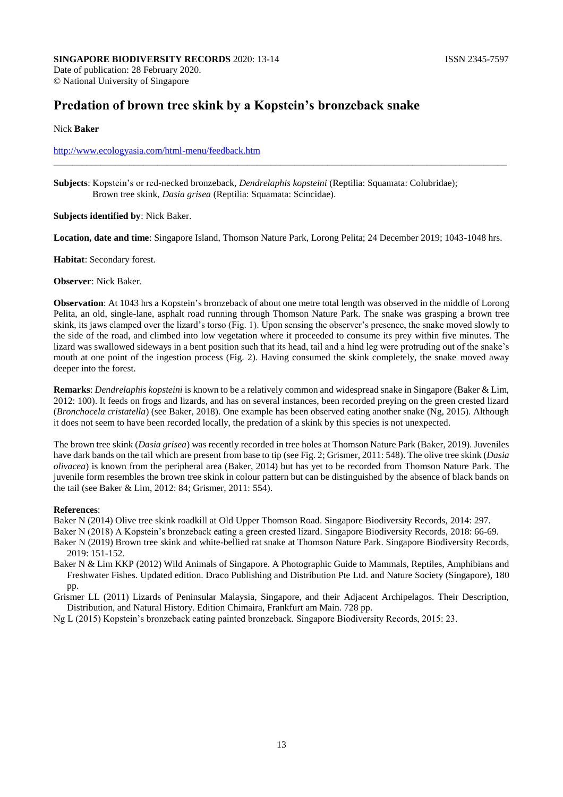# **Predation of brown tree skink by a Kopstein's bronzeback snake**

### Nick **Baker**

## http://www.ecologyasia.com/html-menu/feedback.htm

**Subjects**: Kopstein's or red-necked bronzeback, *Dendrelaphis kopsteini* (Reptilia: Squamata: Colubridae); Brown tree skink, *Dasia grisea* (Reptilia: Squamata: Scincidae).

#### **Subjects identified by**: Nick Baker.

**Location, date and time**: Singapore Island, Thomson Nature Park, Lorong Pelita; 24 December 2019; 1043-1048 hrs.

\_\_\_\_\_\_\_\_\_\_\_\_\_\_\_\_\_\_\_\_\_\_\_\_\_\_\_\_\_\_\_\_\_\_\_\_\_\_\_\_\_\_\_\_\_\_\_\_\_\_\_\_\_\_\_\_\_\_\_\_\_\_\_\_\_\_\_\_\_\_\_\_\_\_\_\_\_\_\_\_\_\_\_\_\_\_\_\_\_\_\_\_\_\_\_\_

#### **Habitat**: Secondary forest.

#### **Observer**: Nick Baker.

**Observation**: At 1043 hrs a Kopstein's bronzeback of about one metre total length was observed in the middle of Lorong Pelita, an old, single-lane, asphalt road running through Thomson Nature Park. The snake was grasping a brown tree skink, its jaws clamped over the lizard's torso (Fig. 1). Upon sensing the observer's presence, the snake moved slowly to the side of the road, and climbed into low vegetation where it proceeded to consume its prey within five minutes. The lizard was swallowed sideways in a bent position such that its head, tail and a hind leg were protruding out of the snake's mouth at one point of the ingestion process (Fig. 2). Having consumed the skink completely, the snake moved away deeper into the forest.

**Remarks**: *Dendrelaphis kopsteini* is known to be a relatively common and widespread snake in Singapore (Baker & Lim, 2012: 100). It feeds on frogs and lizards, and has on several instances, been recorded preying on the green crested lizard (*Bronchocela cristatella*) (see Baker, 2018). One example has been observed eating another snake (Ng, 2015). Although it does not seem to have been recorded locally, the predation of a skink by this species is not unexpected.

The brown tree skink (*Dasia grisea*) was recently recorded in tree holes at Thomson Nature Park (Baker, 2019). Juveniles have dark bands on the tail which are present from base to tip (see Fig. 2; Grismer, 2011: 548). The olive tree skink (*Dasia olivacea*) is known from the peripheral area (Baker, 2014) but has yet to be recorded from Thomson Nature Park. The juvenile form resembles the brown tree skink in colour pattern but can be distinguished by the absence of black bands on the tail (see Baker & Lim, 2012: 84; Grismer, 2011: 554).

#### **References**:

Baker N (2014) Olive tree skink roadkill at Old Upper Thomson Road. Singapore Biodiversity Records, 2014: 297.

Baker N (2018) A Kopstein's bronzeback eating a green crested lizard. Singapore Biodiversity Records, 2018: 66-69.

Baker N (2019) Brown tree skink and white-bellied rat snake at Thomson Nature Park. Singapore Biodiversity Records, 2019: 151-152.

Baker N & Lim KKP (2012) Wild Animals of Singapore. A Photographic Guide to Mammals, Reptiles, Amphibians and Freshwater Fishes. Updated edition. Draco Publishing and Distribution Pte Ltd. and Nature Society (Singapore), 180 pp.

Grismer LL (2011) Lizards of Peninsular Malaysia, Singapore, and their Adjacent Archipelagos. Their Description, Distribution, and Natural History. Edition Chimaira, Frankfurt am Main. 728 pp.

Ng L (2015) Kopstein's bronzeback eating painted bronzeback. Singapore Biodiversity Records, 2015: 23.